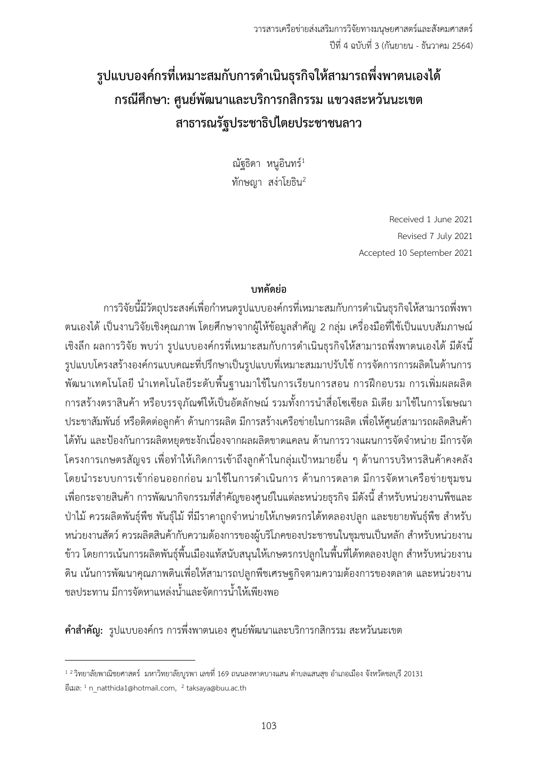# **รูปแบบองค์กรที่เหมาะสมกับการด าเนินธุรกิจให้สามารถพึ่งพาตนเองได้ กรณีศึกษา: ศูนย์พัฒนาและบริการกสิกรรม แขวงสะหวันนะเขต สาธารณรัฐประชาธิปไตยประชาชนลาว**

ณัฐธิดา หนูอินทร์ $^1$ ทักษญา สง่าโยธิน<sup>2</sup>

> Received 1 June 2021 Revised 7 July 2021 Accepted 10 September 2021

## **บทคัดย่อ**

การวิจัยนี้มีวัตถุประสงค์เพื่อกำหนดรูปแบบองค์กรที่เหมาะสมกับการดำเนินธุรกิจให้สามารถพึ่งพา ิตนเองได้ เป็นงานวิจัยเชิงคุณภาพ โดยศึกษาจากผู้ให้ข้อมูลสำคัญ 2 กลุ่ม เครื่องมือที่ใช้เป็นแบบสัมภาษณ์ ี เชิงลึก ผลการวิจัย พบว่า รูปแบบองค์กรที่เหมาะสมกับการดำเนินธุรกิจให้สามารถพึ่งพาตนเองได้ มีดังนี้ รูปแบบโครงสร้างองค์กรแบบคณะที่ปรึกษาเป็นรูปแบบที่เหมาะสมมาปรับใช้ การจัดการการผลิตในด้านการ ี พัฒนาเทคโนโลยี นำเทคโนโลยีระดับพื้นฐานมาใช้ในการเรียนการสอน การฝึกอบรม การเพิ่มผลผลิต ้ การสร้างตราสินค้า หรือบรรจุภัณฑ์ให้เป็นอัตลักษณ์ รวมทั้งการนำสื่อโซเซียล มิเดีย มาใช้ในการโฆษณา ประชาสัมพันธ์ หรือติดต่อลูกค้า ด้านการผลิต มีการสร้างเครือข่ายในการผลิต เพื่อให้ศูนย์สามารถผลิตสินค้า ได้ทัน และป้องกันการผลิตหยุดชะงักเนื่องจากผลผลิตขาดแคลน ด้านการวางแผนการจัดจำหน่าย มีการจัด โครงการเกษตรสัญจร เพื่อทำให้เกิดการเข้าถึงลูกค้าในกลุ่มเป้าหมายอื่น ๆ ด้านการบริหารสินค้าคงคลัง โดยนำระบบการเข้าก่อนออกก่อน มาใช้ในการดำเนินการ ด้านการตลาด มีการจัดหาเครือข่ายชุมชน ้ เพื่อกระจายสินค้า การพัฒนากิจกรรมที่สำคัญของศูนย์ในแต่ละหน่วยธุรกิจ มีดังนี้ สำหรับหน่วยงานพืชและ ้ป่าไม้ ควรผลิตพันธุ์พืช พันธุ์ไม้ ที่มีราคาถูกจำหน่ายให้เกษตรกรได้ทดลองปลูก และขยายพันธุ์พืช สำหรับ หน่วยงานสัตว์ ควรผลิตสินค้ากับความต้องการของผู้บริโภคของประชาชนในชุมชนเป็นหลัก สำหรับหน่วยงาน ่ ข้าว โดยการเน้นการผลิตพันธุ์พื้นเมืองแท้สนับสนุนให้เกษตรกรปลูกในพื้นที่ได้ทดลองปลูก สำหรับหน่วยงาน ดิน เน้นการพัฒนาคุณภาพดินเพื่อให้สามารถปลูกพืชเศรษฐกิจตามความต้องการของตลาด และหน่วยงาน ี ชลประทาน มีการจัดหาแหล่งน้ำและจัดการน้ำให้เพียงพอ

**ค าส าคัญ:** รูปแบบองค์กร การพึ่งพาตนเอง ศูนย์พัฒนาและบริการกสิกรรม สะหวันนะเขต

-

 $^{-1}$  <sup>2</sup> วิทยาลัยพาณิชยศาสตร์ มหาวิทยาลัยบูรพา เลขที่ 169 ถนนลงหาดบางแสน ตำบลแสนสุข อำเภอเมือง จังหวัดชลบุรี 20131 อีเมล: <sup>1</sup> n\_natthida1@hotmail.com, <sup>2</sup> taksaya@buu.ac.th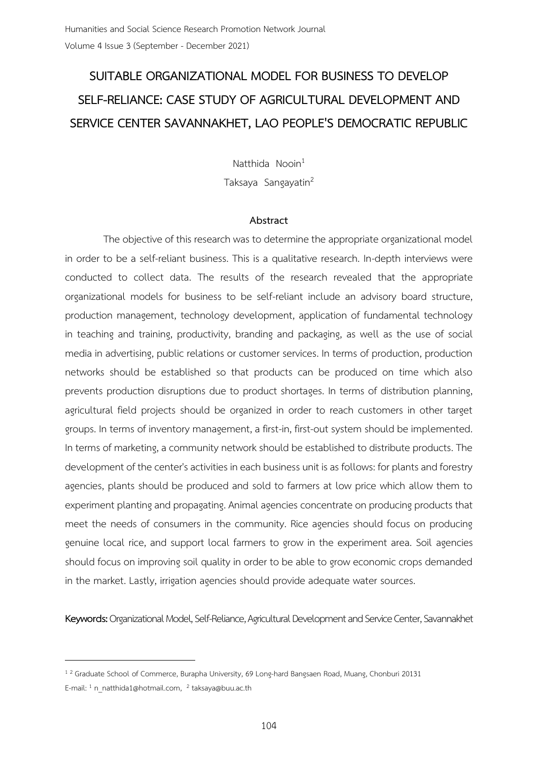## **SUITABLE ORGANIZATIONAL MODEL FOR BUSINESS TO DEVELOP SELF-RELIANCE: CASE STUDY OF AGRICULTURAL DEVELOPMENT AND SERVICE CENTER SAVANNAKHET, LAO PEOPLE'S DEMOCRATIC REPUBLIC**

Natthida Nooin<sup>1</sup> Taksaya Sangayatin<sup>2</sup>

#### **Abstract**

The objective of this research was to determine the appropriate organizational model in order to be a self-reliant business. This is a qualitative research. In-depth interviews were conducted to collect data. The results of the research revealed that the appropriate organizational models for business to be self-reliant include an advisory board structure, production management, technology development, application of fundamental technology in teaching and training, productivity, branding and packaging, as well as the use of social media in advertising, public relations or customer services. In terms of production, production networks should be established so that products can be produced on time which also prevents production disruptions due to product shortages. In terms of distribution planning, agricultural field projects should be organized in order to reach customers in other target groups. In terms of inventory management, a first-in, first-out system should be implemented. In terms of marketing, a community network should be established to distribute products. The development of the center's activities in each business unit is as follows: for plants and forestry agencies, plants should be produced and sold to farmers at low price which allow them to experiment planting and propagating. Animal agencies concentrate on producing products that meet the needs of consumers in the community. Rice agencies should focus on producing genuine local rice, and support local farmers to grow in the experiment area. Soil agencies should focus on improving soil quality in order to be able to grow economic crops demanded in the market. Lastly, irrigation agencies should provide adequate water sources.

**Keywords:** Organizational Model, Self-Reliance, Agricultural Development and Service Center, Savannakhet

-

<sup>&</sup>lt;sup>1 2</sup> Graduate School of Commerce, Burapha University, 69 Long-hard Bangsaen Road, Muang, Chonburi 20131 E-mail: <sup>1</sup> n\_natthida1@hotmail.com, <sup>2</sup> taksaya@buu.ac.th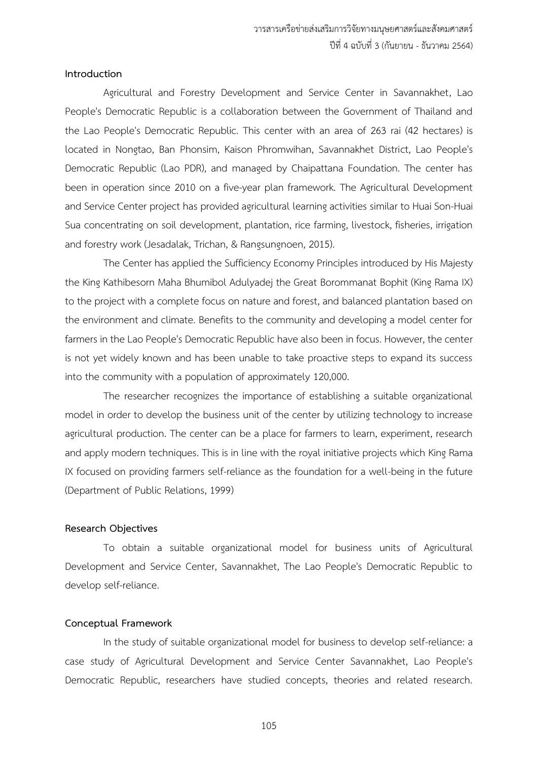#### **Introduction**

Agricultural and Forestry Development and Service Center in Savannakhet, Lao People's Democratic Republic is a collaboration between the Government of Thailand and the Lao People's Democratic Republic. This center with an area of 263 rai (42 hectares) is located in Nongtao, Ban Phonsim, Kaison Phromwihan, Savannakhet District, Lao People's Democratic Republic (Lao PDR), and managed by Chaipattana Foundation. The center has been in operation since 2010 on a five-year plan framework. The Agricultural Development and Service Center project has provided agricultural learning activities similar to Huai Son-Huai Sua concentrating on soil development, plantation, rice farming, livestock, fisheries, irrigation and forestry work (Jesadalak, Trichan, & Rangsungnoen, 2015).

The Center has applied the Sufficiency Economy Principles introduced by His Majesty the King Kathibesorn Maha Bhumibol Adulyadej the Great Borommanat Bophit (King Rama IX) to the project with a complete focus on nature and forest, and balanced plantation based on the environment and climate. Benefits to the community and developing a model center for farmers in the Lao People's Democratic Republic have also been in focus. However, the center is not yet widely known and has been unable to take proactive steps to expand its success into the community with a population of approximately 120,000.

The researcher recognizes the importance of establishing a suitable organizational model in order to develop the business unit of the center by utilizing technology to increase agricultural production. The center can be a place for farmers to learn, experiment, research and apply modern techniques. This is in line with the royal initiative projects which King Rama IX focused on providing farmers self-reliance as the foundation for a well-being in the future (Department of Public Relations, 1999)

#### **Research Objectives**

To obtain a suitable organizational model for business units of Agricultural Development and Service Center, Savannakhet, The Lao People's Democratic Republic to develop self-reliance.

#### **Conceptual Framework**

In the study of suitable organizational model for business to develop self-reliance: a case study of Agricultural Development and Service Center Savannakhet, Lao People's Democratic Republic, researchers have studied concepts, theories and related research.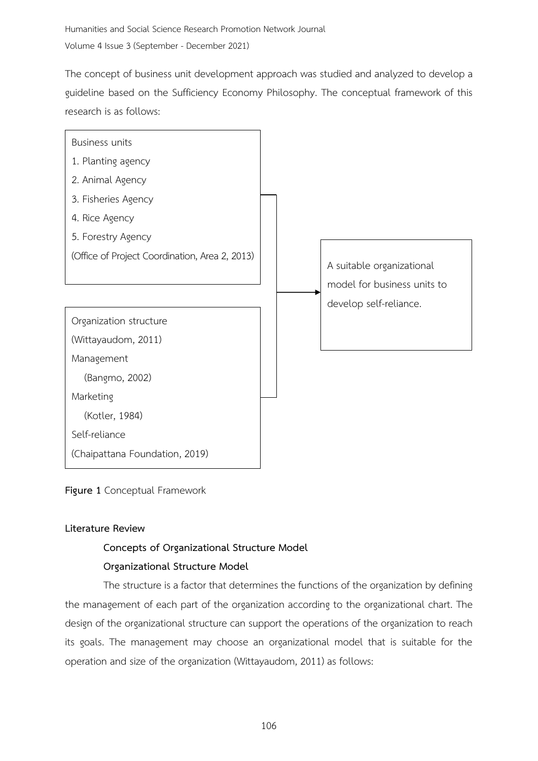The concept of business unit development approach was studied and analyzed to develop a guideline based on the Sufficiency Economy Philosophy. The conceptual framework of this research is as follows:



**Figure 1** Conceptual Framework

## **Literature Review**

## **Concepts of Organizational Structure Model**

## **Organizational Structure Model**

The structure is a factor that determines the functions of the organization by defining the management of each part of the organization according to the organizational chart. The design of the organizational structure can support the operations of the organization to reach its goals. The management may choose an organizational model that is suitable for the operation and size of the organization (Wittayaudom, 2011) as follows: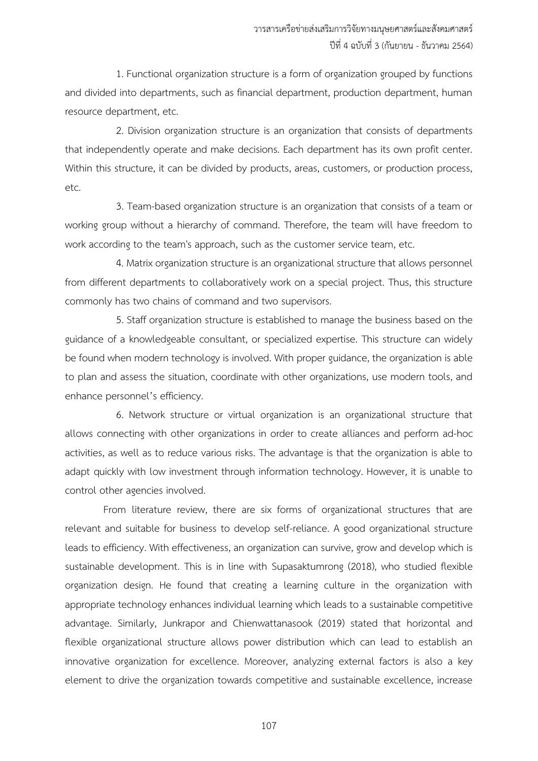1. Functional organization structure is a form of organization grouped by functions and divided into departments, such as financial department, production department, human resource department, etc.

2. Division organization structure is an organization that consists of departments that independently operate and make decisions. Each department has its own profit center. Within this structure, it can be divided by products, areas, customers, or production process, etc.

3. Team-based organization structure is an organization that consists of a team or working group without a hierarchy of command. Therefore, the team will have freedom to work according to the team's approach, such as the customer service team, etc.

4. Matrix organization structure is an organizational structure that allows personnel from different departments to collaboratively work on a special project. Thus, this structure commonly has two chains of command and two supervisors.

5. Staff organization structure is established to manage the business based on the guidance of a knowledgeable consultant, or specialized expertise. This structure can widely be found when modern technology is involved. With proper guidance, the organization is able to plan and assess the situation, coordinate with other organizations, use modern tools, and enhance personnel's efficiency.

6. Network structure or virtual organization is an organizational structure that allows connecting with other organizations in order to create alliances and perform ad-hoc activities, as well as to reduce various risks. The advantage is that the organization is able to adapt quickly with low investment through information technology. However, it is unable to control other agencies involved.

From literature review, there are six forms of organizational structures that are relevant and suitable for business to develop self-reliance. A good organizational structure leads to efficiency. With effectiveness, an organization can survive, grow and develop which is sustainable development. This is in line with Supasaktumrong (2018), who studied flexible organization design. He found that creating a learning culture in the organization with appropriate technology enhances individual learning which leads to a sustainable competitive advantage. Similarly, Junkrapor and Chienwattanasook (2019) stated that horizontal and flexible organizational structure allows power distribution which can lead to establish an innovative organization for excellence. Moreover, analyzing external factors is also a key element to drive the organization towards competitive and sustainable excellence, increase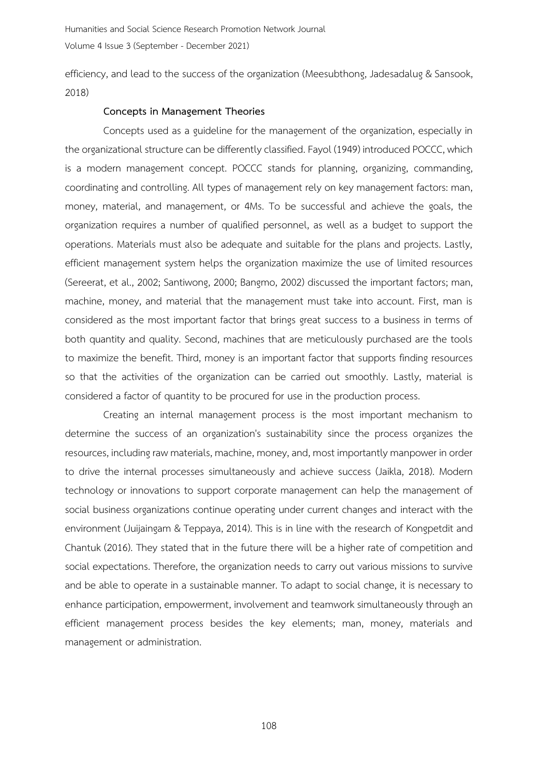efficiency, and lead to the success of the organization (Meesubthong, Jadesadalug & Sansook, 2018)

#### **Concepts in Management Theories**

Concepts used as a guideline for the management of the organization, especially in the organizational structure can be differently classified. Fayol (1949) introduced POCCC, which is a modern management concept. POCCC stands for planning, organizing, commanding, coordinating and controlling. All types of management rely on key management factors: man, money, material, and management, or 4Ms. To be successful and achieve the goals, the organization requires a number of qualified personnel, as well as a budget to support the operations. Materials must also be adequate and suitable for the plans and projects. Lastly, efficient management system helps the organization maximize the use of limited resources (Sereerat, et al., 2002; Santiwong, 2000; Bangmo, 2002) discussed the important factors; man, machine, money, and material that the management must take into account. First, man is considered as the most important factor that brings great success to a business in terms of both quantity and quality. Second, machines that are meticulously purchased are the tools to maximize the benefit. Third, money is an important factor that supports finding resources so that the activities of the organization can be carried out smoothly. Lastly, material is considered a factor of quantity to be procured for use in the production process.

Creating an internal management process is the most important mechanism to determine the success of an organization's sustainability since the process organizes the resources, including raw materials, machine, money, and, most importantly manpower in order to drive the internal processes simultaneously and achieve success (Jaikla, 2018). Modern technology or innovations to support corporate management can help the management of social business organizations continue operating under current changes and interact with the environment (Juijaingam & Teppaya, 2014). This is in line with the research of Kongpetdit and Chantuk (2016). They stated that in the future there will be a higher rate of competition and social expectations. Therefore, the organization needs to carry out various missions to survive and be able to operate in a sustainable manner. To adapt to social change, it is necessary to enhance participation, empowerment, involvement and teamwork simultaneously through an efficient management process besides the key elements; man, money, materials and management or administration.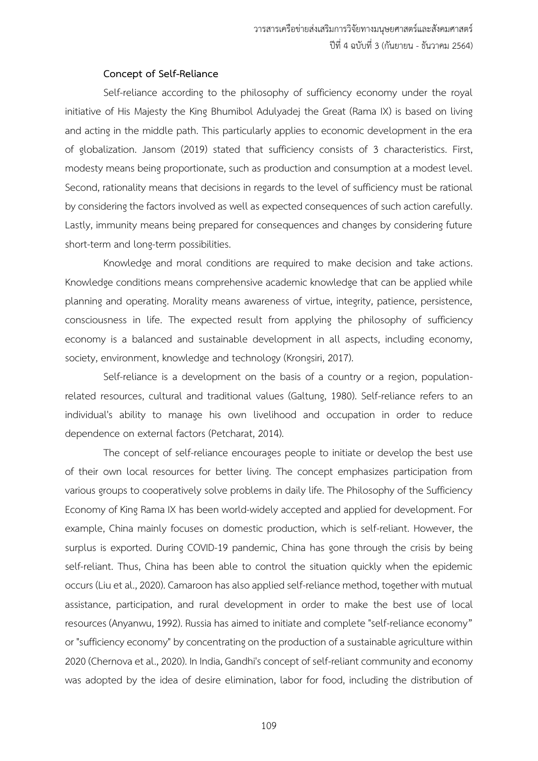#### **Concept of Self-Reliance**

Self-reliance according to the philosophy of sufficiency economy under the royal initiative of His Majesty the King Bhumibol Adulyadej the Great (Rama IX) is based on living and acting in the middle path. This particularly applies to economic development in the era of globalization. Jansom (2019) stated that sufficiency consists of 3 characteristics. First, modesty means being proportionate, such as production and consumption at a modest level. Second, rationality means that decisions in regards to the level of sufficiency must be rational by considering the factors involved as well as expected consequences of such action carefully. Lastly, immunity means being prepared for consequences and changes by considering future short-term and long-term possibilities.

 Knowledge and moral conditions are required to make decision and take actions. Knowledge conditions means comprehensive academic knowledge that can be applied while planning and operating. Morality means awareness of virtue, integrity, patience, persistence, consciousness in life. The expected result from applying the philosophy of sufficiency economy is a balanced and sustainable development in all aspects, including economy, society, environment, knowledge and technology (Krongsiri, 2017).

Self-reliance is a development on the basis of a country or a region, populationrelated resources, cultural and traditional values (Galtung, 1980). Self-reliance refers to an individual's ability to manage his own livelihood and occupation in order to reduce dependence on external factors (Petcharat, 2014).

The concept of self-reliance encourages people to initiate or develop the best use of their own local resources for better living. The concept emphasizes participation from various groups to cooperatively solve problems in daily life. The Philosophy of the Sufficiency Economy of King Rama IX has been world-widely accepted and applied for development. For example, China mainly focuses on domestic production, which is self-reliant. However, the surplus is exported. During COVID-19 pandemic, China has gone through the crisis by being self-reliant. Thus, China has been able to control the situation quickly when the epidemic occurs (Liu et al., 2020). Camaroon has also applied self-reliance method, together with mutual assistance, participation, and rural development in order to make the best use of local resources (Anyanwu, 1992). Russia has aimed to initiate and complete "self-reliance economy" or "sufficiency economy" by concentrating on the production of a sustainable agriculture within 2020 (Chernova et al., 2020). In India, Gandhi's concept of self-reliant community and economy was adopted by the idea of desire elimination, labor for food, including the distribution of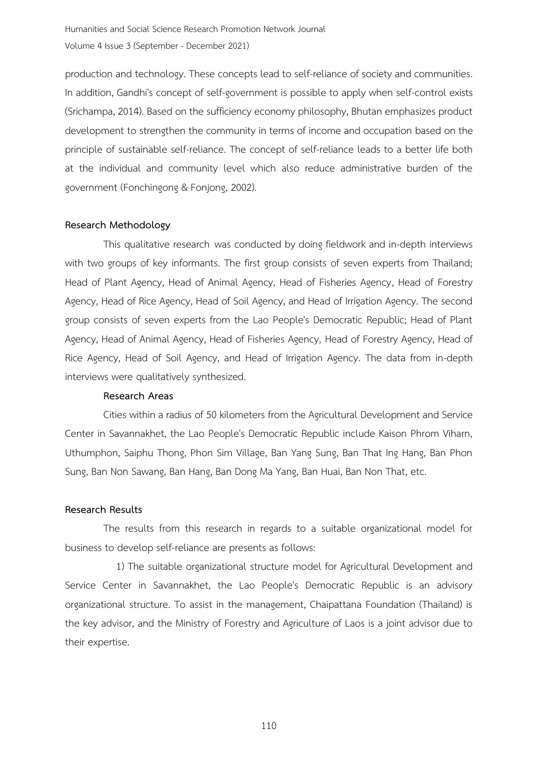production and technology. These concepts lead to self-reliance of society and communities. In addition, Gandhi's concept of self-government is possible to apply when self-control exists (Srichampa, 2014). Based on the sufficiency economy philosophy, Bhutan emphasizes product development to strengthen the community in terms of income and occupation based on the principle of sustainable self-reliance. The concept of self-reliance leads to a better life both at the individual and community level which also reduce administrative burden of the government (Fonchingong & Fonjong, 2002).

#### **Research Methodology**

This qualitative research was conducted by doing fieldwork and in-depth interviews with two groups of key informants. The first group consists of seven experts from Thailand; Head of Plant Agency, Head of Animal Agency, Head of Fisheries Agency, Head of Forestry Agency, Head of Rice Agency, Head of Soil Agency, and Head of Irrigation Agency. The second group consists of seven experts from the Lao People's Democratic Republic; Head of Plant Agency, Head of Animal Agency, Head of Fisheries Agency, Head of Forestry Agency, Head of Rice Agency, Head of Soil Agency, and Head of Irrigation Agency. The data from in-depth interviews were qualitatively synthesized.

#### **Research Areas**

Cities within a radius of 50 kilometers from the Agricultural Development and Service Center in Savannakhet, the Lao People's Democratic Republic include Kaison Phrom Viharn, Uthumphon, Saiphu Thong, Phon Sim Village, Ban Yang Sung, Ban That Ing Hang, Ban Phon Sung, Ban Non Sawang, Ban Hang, Ban Dong Ma Yang, Ban Huai, Ban Non That, etc.

#### **Research Results**

The results from this research in regards to a suitable organizational model for business to develop self-reliance are presents as follows:

1) The suitable organizational structure model for Agricultural Development and Service Center in Savannakhet, the Lao People's Democratic Republic is an advisory organizational structure. To assist in the management, Chaipattana Foundation (Thailand) is the key advisor, and the Ministry of Forestry and Agriculture of Laos is a joint advisor due to their expertise.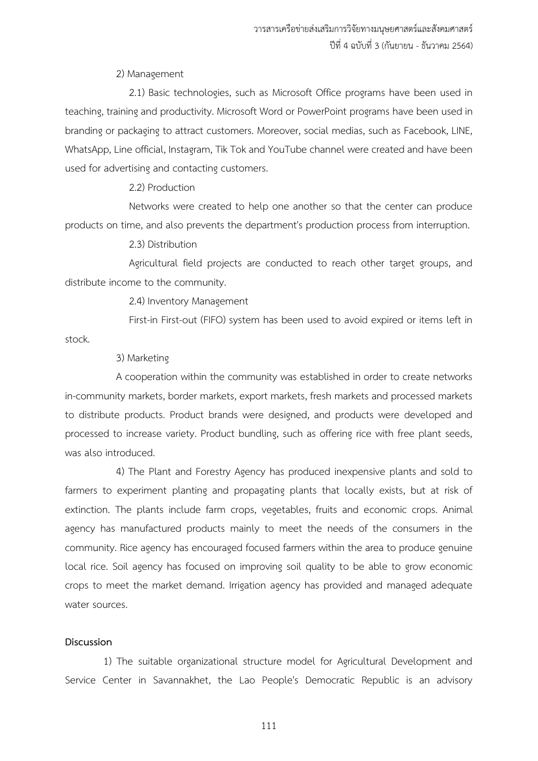#### 2) Management

2.1) Basic technologies, such as Microsoft Office programs have been used in teaching, training and productivity. Microsoft Word or PowerPoint programs have been used in branding or packaging to attract customers. Moreover, social medias, such as Facebook, LINE, WhatsApp, Line official, Instagram, Tik Tok and YouTube channel were created and have been used for advertising and contacting customers.

2.2) Production

Networks were created to help one another so that the center can produce products on time, and also prevents the department's production process from interruption.

2.3) Distribution

Agricultural field projects are conducted to reach other target groups, and distribute income to the community.

2.4) Inventory Management

First-in First-out (FIFO) system has been used to avoid expired or items left in stock.

#### 3) Marketing

A cooperation within the community was established in order to create networks in-community markets, border markets, export markets, fresh markets and processed markets to distribute products. Product brands were designed, and products were developed and processed to increase variety. Product bundling, such as offering rice with free plant seeds, was also introduced.

4) The Plant and Forestry Agency has produced inexpensive plants and sold to farmers to experiment planting and propagating plants that locally exists, but at risk of extinction. The plants include farm crops, vegetables, fruits and economic crops. Animal agency has manufactured products mainly to meet the needs of the consumers in the community. Rice agency has encouraged focused farmers within the area to produce genuine local rice. Soil agency has focused on improving soil quality to be able to grow economic crops to meet the market demand. Irrigation agency has provided and managed adequate water sources.

#### **Discussion**

1) The suitable organizational structure model for Agricultural Development and Service Center in Savannakhet, the Lao People's Democratic Republic is an advisory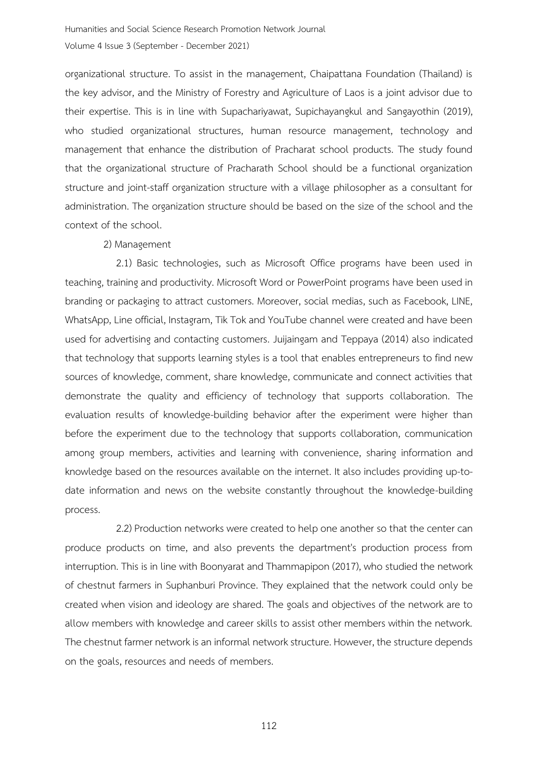organizational structure. To assist in the management, Chaipattana Foundation (Thailand) is the key advisor, and the Ministry of Forestry and Agriculture of Laos is a joint advisor due to their expertise. This is in line with Supachariyawat, Supichayangkul and Sangayothin (2019), who studied organizational structures, human resource management, technology and management that enhance the distribution of Pracharat school products. The study found that the organizational structure of Pracharath School should be a functional organization structure and joint-staff organization structure with a village philosopher as a consultant for administration. The organization structure should be based on the size of the school and the context of the school.

2) Management

2.1) Basic technologies, such as Microsoft Office programs have been used in teaching, training and productivity. Microsoft Word or PowerPoint programs have been used in branding or packaging to attract customers. Moreover, social medias, such as Facebook, LINE, WhatsApp, Line official, Instagram, Tik Tok and YouTube channel were created and have been used for advertising and contacting customers. Juijaingam and Teppaya (2014) also indicated that technology that supports learning styles is a tool that enables entrepreneurs to find new sources of knowledge, comment, share knowledge, communicate and connect activities that demonstrate the quality and efficiency of technology that supports collaboration. The evaluation results of knowledge-building behavior after the experiment were higher than before the experiment due to the technology that supports collaboration, communication among group members, activities and learning with convenience, sharing information and knowledge based on the resources available on the internet. It also includes providing up-todate information and news on the website constantly throughout the knowledge-building process.

2.2) Production networks were created to help one another so that the center can produce products on time, and also prevents the department's production process from interruption. This is in line with Boonyarat and Thammapipon (2017), who studied the network of chestnut farmers in Suphanburi Province. They explained that the network could only be created when vision and ideology are shared. The goals and objectives of the network are to allow members with knowledge and career skills to assist other members within the network. The chestnut farmer network is an informal network structure. However, the structure depends on the goals, resources and needs of members.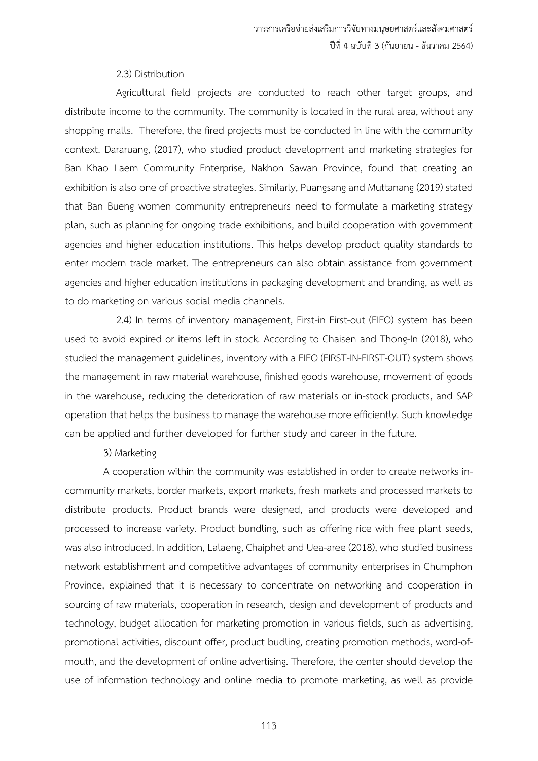#### 2.3) Distribution

Agricultural field projects are conducted to reach other target groups, and distribute income to the community. The community is located in the rural area, without any shopping malls. Therefore, the fired projects must be conducted in line with the community context. Dararuang, (2017), who studied product development and marketing strategies for Ban Khao Laem Community Enterprise, Nakhon Sawan Province, found that creating an exhibition is also one of proactive strategies. Similarly, Puangsang and Muttanang (2019) stated that Ban Bueng women community entrepreneurs need to formulate a marketing strategy plan, such as planning for ongoing trade exhibitions, and build cooperation with government agencies and higher education institutions. This helps develop product quality standards to enter modern trade market. The entrepreneurs can also obtain assistance from government agencies and higher education institutions in packaging development and branding, as well as to do marketing on various social media channels.

2.4) In terms of inventory management, First-in First-out (FIFO) system has been used to avoid expired or items left in stock. According to Chaisen and Thong-In (2018), who studied the management guidelines, inventory with a FIFO (FIRST-IN-FIRST-OUT) system shows the management in raw material warehouse, finished goods warehouse, movement of goods in the warehouse, reducing the deterioration of raw materials or in-stock products, and SAP operation that helps the business to manage the warehouse more efficiently. Such knowledge can be applied and further developed for further study and career in the future.

3) Marketing

A cooperation within the community was established in order to create networks incommunity markets, border markets, export markets, fresh markets and processed markets to distribute products. Product brands were designed, and products were developed and processed to increase variety. Product bundling, such as offering rice with free plant seeds, was also introduced. In addition, Lalaeng, Chaiphet and Uea-aree(2018), who studied business network establishment and competitive advantages of community enterprises in Chumphon Province, explained that it is necessary to concentrate on networking and cooperation in sourcing of raw materials, cooperation in research, design and development of products and technology, budget allocation for marketing promotion in various fields, such as advertising, promotional activities, discount offer, product budling, creating promotion methods, word-ofmouth, and the development of online advertising. Therefore, the center should develop the use of information technology and online media to promote marketing, as well as provide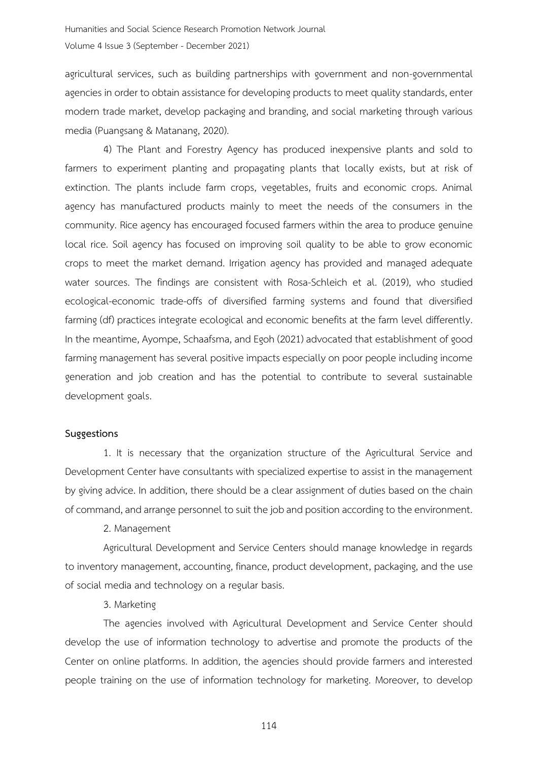agricultural services, such as building partnerships with government and non-governmental agencies in order to obtain assistance for developing products to meet quality standards, enter modern trade market, develop packaging and branding, and social marketing through various media (Puangsang & Matanang, 2020).

4) The Plant and Forestry Agency has produced inexpensive plants and sold to farmers to experiment planting and propagating plants that locally exists, but at risk of extinction. The plants include farm crops, vegetables, fruits and economic crops. Animal agency has manufactured products mainly to meet the needs of the consumers in the community. Rice agency has encouraged focused farmers within the area to produce genuine local rice. Soil agency has focused on improving soil quality to be able to grow economic crops to meet the market demand. Irrigation agency has provided and managed adequate water sources. The findings are consistent with Rosa-Schleich et al. (2019), who studied ecological-economic trade-offs of diversified farming systems and found that diversified farming (df) practices integrate ecological and economic benefits at the farm level differently. In the meantime, Ayompe, Schaafsma, and Egoh (2021) advocated that establishment of good farming management has several positive impacts especially on poor people including income generation and job creation and has the potential to contribute to several sustainable development goals.

#### **Suggestions**

1. It is necessary that the organization structure of the Agricultural Service and Development Center have consultants with specialized expertise to assist in the management by giving advice. In addition, there should be a clear assignment of duties based on the chain of command, and arrange personnel to suit the job and position according to the environment.

#### 2. Management

Agricultural Development and Service Centers should manage knowledge in regards to inventory management, accounting, finance, product development, packaging, and the use of social media and technology on a regular basis.

#### 3. Marketing

The agencies involved with Agricultural Development and Service Center should develop the use of information technology to advertise and promote the products of the Center on online platforms. In addition, the agencies should provide farmers and interested people training on the use of information technology for marketing. Moreover, to develop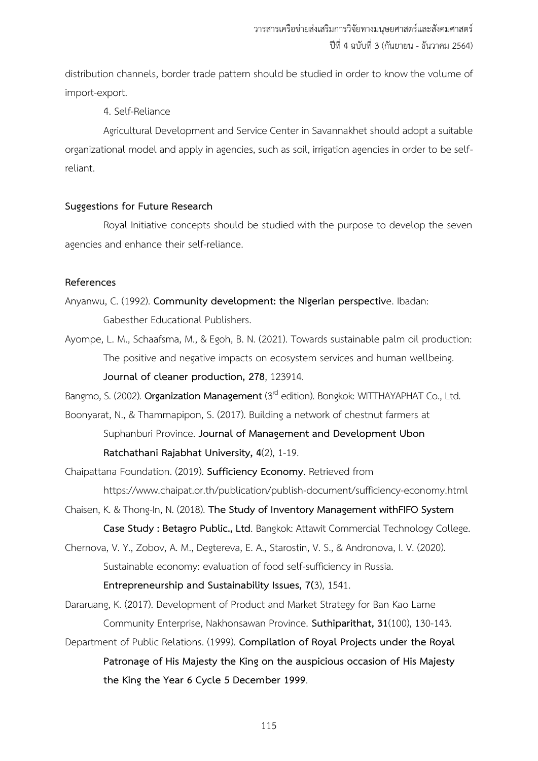distribution channels, border trade pattern should be studied in order to know the volume of import-export.

4. Self-Reliance

Agricultural Development and Service Center in Savannakhet should adopt a suitable organizational model and apply in agencies, such as soil, irrigation agencies in order to be selfreliant.

## **Suggestions for Future Research**

Royal Initiative concepts should be studied with the purpose to develop the seven agencies and enhance their self-reliance.

## **References**

- Anyanwu, C. (1992). **Community development: the Nigerian perspectiv**e. Ibadan: Gabesther Educational Publishers.
- Ayompe, L. M., Schaafsma, M., & Egoh, B. N. (2021). Towards sustainable palm oil production: The positive and negative impacts on ecosystem services and human wellbeing. **Journal of cleaner production, 278**, 123914.

Bangmo, S. (2002). **Organization Management** (3rd edition). Bongkok: WITTHAYAPHAT Co., Ltd.

- Boonyarat, N., & Thammapipon, S. (2017). Building a network of chestnut farmers at Suphanburi Province. **Journal of Management and Development Ubon Ratchathani Rajabhat University, 4**(2), 1-19.
- Chaipattana Foundation. (2019). **Sufficiency Economy**. Retrieved from https://www.chaipat.or.th/publication/publish-document/sufficiency-economy.html
- Chaisen, K. & Thong-In, N. (2018). **The Study of Inventory Management withFIFO System Case Study : Betagro Public., Ltd**. Bangkok: Attawit Commercial Technology College.
- Chernova, V. Y., Zobov, A. M., Degtereva, E. A., Starostin, V. S., & Andronova, I. V. (2020). Sustainable economy: evaluation of food self-sufficiency in Russia. **Entrepreneurship and Sustainability Issues, 7(**3), 1541.

Dararuang, K. (2017). Development of Product and Market Strategy for Ban Kao Lame Community Enterprise, Nakhonsawan Province. **Suthiparithat, 31**(100), 130-143.

Department of Public Relations. (1999). **Compilation of Royal Projects under the Royal Patronage of His Majesty the King on the auspicious occasion of His Majesty the King the Year 6 Cycle 5 December 1999**.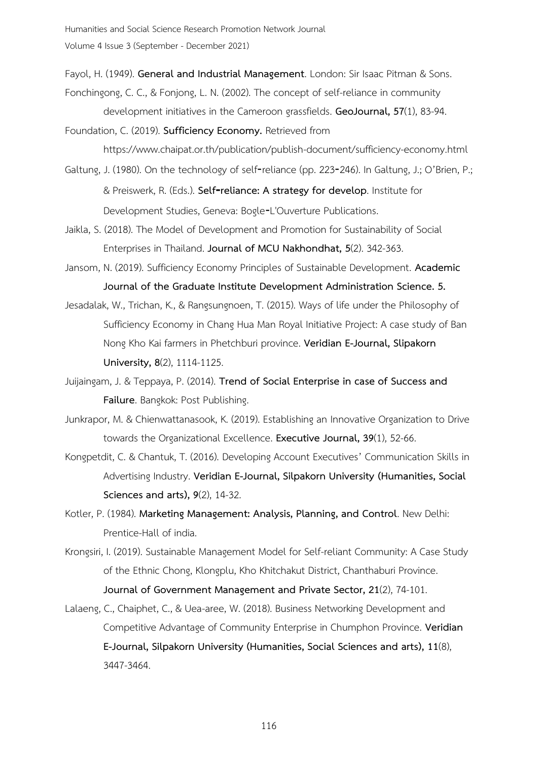Fayol, H. (1949). **General and Industrial Management**. London: Sir Isaac Pitman & Sons.

Fonchingong, C. C., & Fonjong, L. N. (2002). The concept of self-reliance in community development initiatives in the Cameroon grassfields. **GeoJournal, 57**(1), 83-94.

Foundation, C. (2019). **Sufficiency Economy.** Retrieved from

https://www.chaipat.or.th/publication/publish-document/sufficiency-economy.html

- Galtung, J. (1980). On the technology of self-reliance (pp. 223-246). In Galtung, J.; O'Brien, P.; & Preiswerk, R. (Eds.). **Self**‐**reliance: A strategy for develop**. Institute for Development Studies, Geneva: Bogle‐L'Ouverture Publications.
- Jaikla, S. (2018). The Model of Development and Promotion for Sustainability of Social Enterprises in Thailand. **Journal of MCU Nakhondhat, 5**(2). 342-363.
- Jansom, N. (2019). Sufficiency Economy Principles of Sustainable Development. **Academic Journal of the Graduate Institute Development Administration Science. 5.**
- Jesadalak, W., Trichan, K., & Rangsungnoen, T. (2015). Ways of life under the Philosophy of Sufficiency Economy in Chang Hua Man Royal Initiative Project: A case study of Ban Nong Kho Kai farmers in Phetchburi province. **Veridian E-Journal, Slipakorn University, 8**(2), 1114-1125.
- Juijaingam, J. & Teppaya, P. (2014). **Trend of Social Enterprise in case of Success and Failure**. Bangkok: Post Publishing.
- Junkrapor, M. & Chienwattanasook, K. (2019). Establishing an Innovative Organization to Drive towards the Organizational Excellence. **Executive Journal, 39**(1), 52-66.
- Kongpetdit, C. & Chantuk, T. (2016). Developing Account Executives' Communication Skills in Advertising Industry. **Veridian E-Journal, Silpakorn University (Humanities, Social Sciences and arts), 9**(2), 14-32.
- Kotler, P. (1984). **Marketing Management: Analysis, Planning, and Control**. New Delhi: Prentice-Hall of india.
- Krongsiri, I. (2019). Sustainable Management Model for Self-reliant Community: A Case Study of the Ethnic Chong, Klongplu, Kho Khitchakut District, Chanthaburi Province. **Journal of Government Management and Private Sector, 21**(2), 74-101.
- Lalaeng, C., Chaiphet, C., & Uea-aree, W. (2018). Business Networking Development and Competitive Advantage of Community Enterprise in Chumphon Province. **Veridian E-Journal, Silpakorn University (Humanities, Social Sciences and arts), 11**(8), 3447-3464.